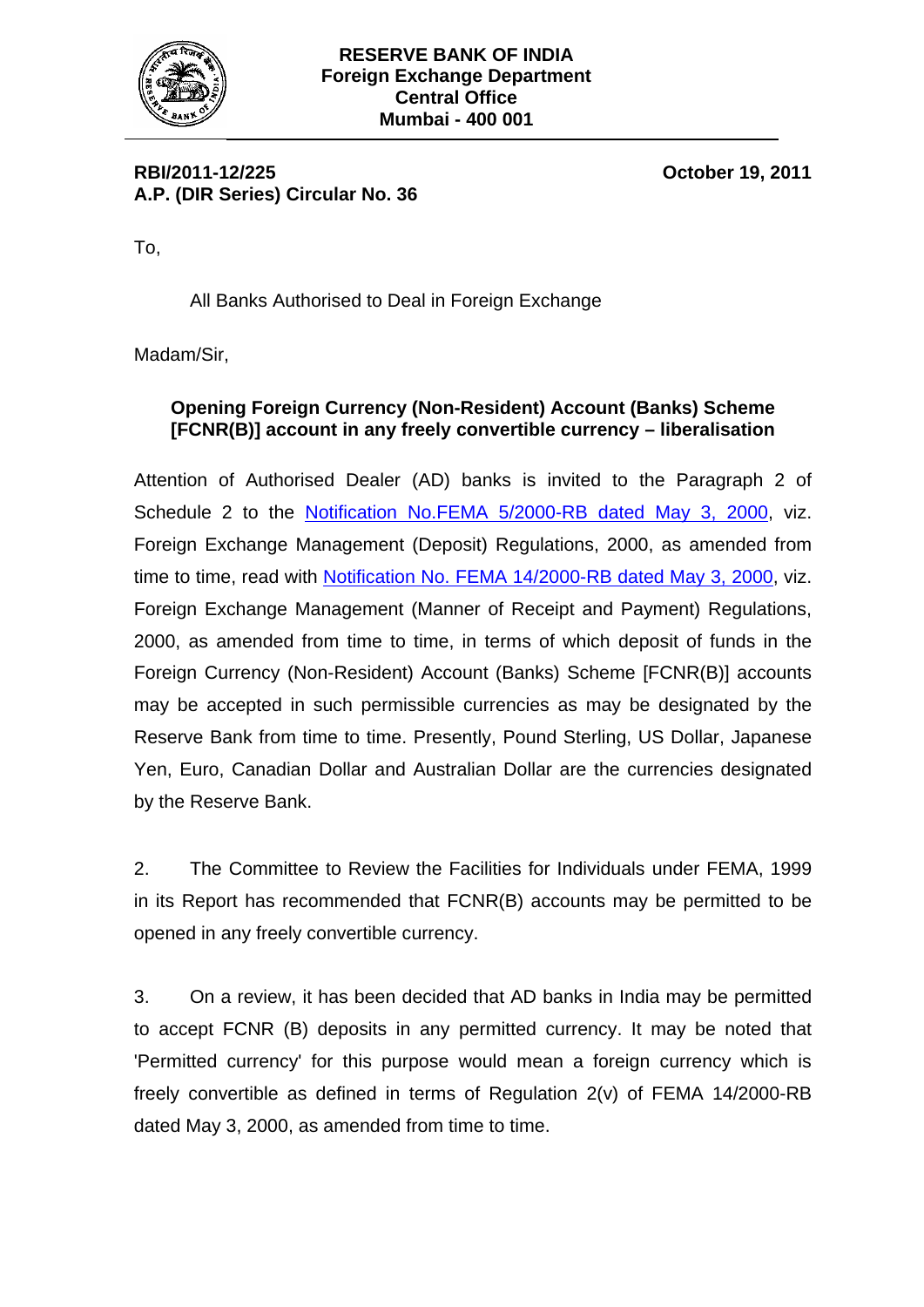

**RBI/2011-12/225 October 19, 2011 A.P. (DIR Series) Circular No. 36** 

To,

All Banks Authorised to Deal in Foreign Exchange

Madam/Sir,

## **Opening Foreign Currency (Non-Resident) Account (Banks) Scheme [FCNR(B)] account in any freely convertible currency – liberalisation**

Attention of Authorised Dealer (AD) banks is invited to the Paragraph 2 of Schedule 2 to the [Notification No.FEMA 5/2000-RB dated May 3, 2000](http://rbi.org.in/Scripts/BS_FemaNotifications.aspx?Id=159), viz. Foreign Exchange Management (Deposit) Regulations, 2000, as amended from time to time, read with [Notification No. FEMA 14/2000-RB dated May 3, 2000](http://rbi.org.in/Scripts/BS_FemaNotifications.aspx?Id=168), viz. Foreign Exchange Management (Manner of Receipt and Payment) Regulations, 2000, as amended from time to time, in terms of which deposit of funds in the Foreign Currency (Non-Resident) Account (Banks) Scheme [FCNR(B)] accounts may be accepted in such permissible currencies as may be designated by the Reserve Bank from time to time. Presently, Pound Sterling, US Dollar, Japanese Yen, Euro, Canadian Dollar and Australian Dollar are the currencies designated by the Reserve Bank.

2. The Committee to Review the Facilities for Individuals under FEMA, 1999 in its Report has recommended that FCNR(B) accounts may be permitted to be opened in any freely convertible currency.

3. On a review, it has been decided that AD banks in India may be permitted to accept FCNR (B) deposits in any permitted currency. It may be noted that 'Permitted currency' for this purpose would mean a foreign currency which is freely convertible as defined in terms of Regulation 2(v) of FEMA 14/2000-RB dated May 3, 2000, as amended from time to time.